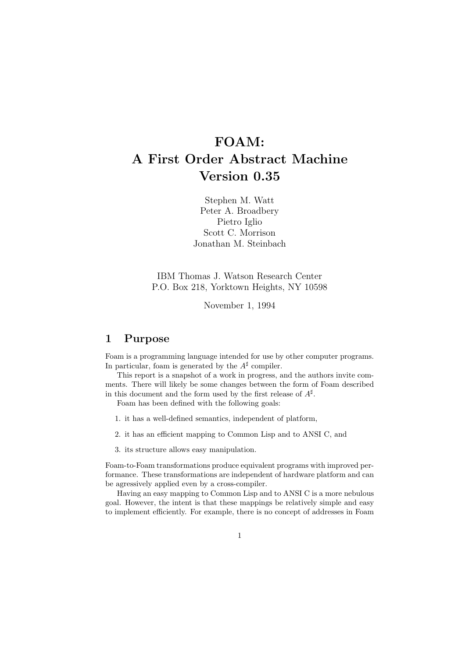# FOAM: A First Order Abstract Machine Version 0.35

Stephen M. Watt Peter A. Broadbery Pietro Iglio Scott C. Morrison Jonathan M. Steinbach

IBM Thomas J. Watson Research Center P.O. Box 218, Yorktown Heights, NY 10598

November 1, 1994

## 1 Purpose

Foam is a programming language intended for use by other computer programs. In particular, foam is generated by the  $A^{\sharp}$  compiler.

This report is a snapshot of a work in progress, and the authors invite comments. There will likely be some changes between the form of Foam described in this document and the form used by the first release of  $A^{\sharp}$ .

Foam has been defined with the following goals:

- 1. it has a well-defined semantics, independent of platform,
- 2. it has an efficient mapping to Common Lisp and to ANSI C, and
- 3. its structure allows easy manipulation.

Foam-to-Foam transformations produce equivalent programs with improved performance. These transformations are independent of hardware platform and can be agressively applied even by a cross-compiler.

Having an easy mapping to Common Lisp and to ANSI C is a more nebulous goal. However, the intent is that these mappings be relatively simple and easy to implement efficiently. For example, there is no concept of addresses in Foam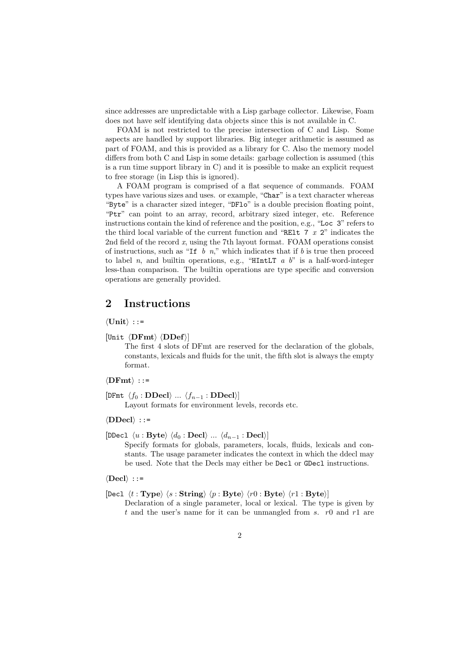since addresses are unpredictable with a Lisp garbage collector. Likewise, Foam does not have self identifying data objects since this is not available in C.

FOAM is not restricted to the precise intersection of C and Lisp. Some aspects are handled by support libraries. Big integer arithmetic is assumed as part of FOAM, and this is provided as a library for C. Also the memory model differs from both C and Lisp in some details: garbage collection is assumed (this is a run time support library in C) and it is possible to make an explicit request to free storage (in Lisp this is ignored).

A FOAM program is comprised of a flat sequence of commands. FOAM types have various sizes and uses. or example, "Char" is a text character whereas "Byte" is a character sized integer, "DFlo" is a double precision floating point, "Ptr" can point to an array, record, arbitrary sized integer, etc. Reference instructions contain the kind of reference and the position, e.g., "Loc 3" refers to the third local variable of the current function and "RE1t  $7x2$ " indicates the 2nd field of the record x, using the 7th layout format. FOAM operations consist of instructions, such as "If  $b$  n," which indicates that if  $b$  is true then proceed to label n, and builtin operations, e.g., "HIntLT  $a$  b" is a half-word-integer less-than comparison. The builtin operations are type specific and conversion operations are generally provided.

## 2 Instructions

 $\langle$ Unit $\rangle$  ::=

 $|Unit \langle \textbf{DFmt} \rangle \langle \textbf{DDef} \rangle|$ 

The first 4 slots of DFmt are reserved for the declaration of the globals, constants, lexicals and fluids for the unit, the fifth slot is always the empty format.

 $\langle$ DFmt $\rangle$  ::=

 $[DFmt \langle f_0 : \mathbf{DDecl} \rangle \dots \langle f_{n-1} : \mathbf{DDecl} \rangle]$ 

Layout formats for environment levels, records etc.

 $\langle DDecl \rangle$  ::=

[DDecl  $\langle u : \text{Byte} \rangle \langle d_0 : \text{Deck} \rangle \dots \langle d_{n-1} : \text{Deck} \rangle$ ]

Specify formats for globals, parameters, locals, fluids, lexicals and constants. The usage parameter indicates the context in which the ddecl may be used. Note that the Decls may either be Decl or GDecl instructions.

 $\langle$ Decl $\rangle$  ::=

[Decl  $\langle t : Type \rangle$   $\langle s : String \rangle$   $\langle p : Byte \rangle$   $\langle r0 : Byte \rangle$   $\langle r1 : Byte \rangle$ ]

Declaration of a single parameter, local or lexical. The type is given by t and the user's name for it can be unmangled from s.  $r0$  and  $r1$  are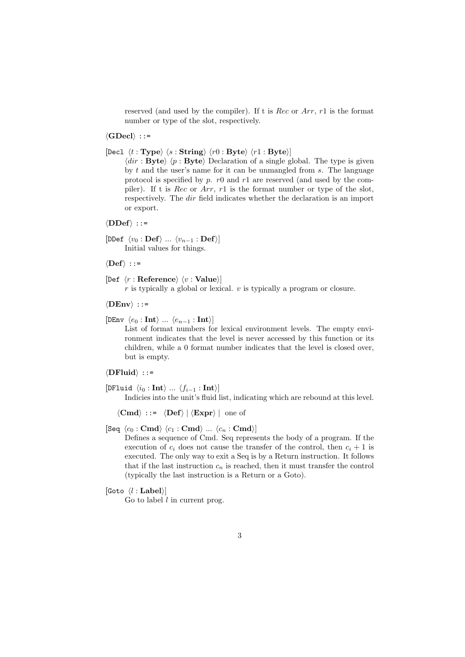reserved (and used by the compiler). If t is Rec or Arr, r1 is the format number or type of the slot, respectively.

 $\langle$ GDecl $\rangle$  ::=

[Decl  $\langle t : \textbf{Type} \rangle$   $\langle s : \textbf{String} \rangle$   $\langle r0 : \textbf{Byte} \rangle$   $\langle r1 : \textbf{Byte} \rangle$ ]

 $\langle \text{dir} : \text{Byte} \rangle$   $\langle p : \text{Byte} \rangle$  Declaration of a single global. The type is given by  $t$  and the user's name for it can be unmangled from  $s$ . The language protocol is specified by p. r0 and r1 are reserved (and used by the compiler). If t is Rec or Arr, r1 is the format number or type of the slot, respectively. The dir field indicates whether the declaration is an import or export.

 $\langle$ DDef $\rangle$  ::=

 $[{\tt DDef} \langle v_0 : {\bf Def} \rangle \dots \langle v_{n-1} : {\bf Def} \rangle]$ Initial values for things.

 $\langle\text{Def}\rangle$  ::=

```
[Def \langle r : \text{Reference} \rangle \langle v : \text{Value} \rangle]
```
 $r$  is typically a global or lexical.  $v$  is typically a program or closure.

 $\langle$ DEnv $\rangle$  ::=

 $[DEFed{DEF} \langle e_0 : \textbf{Int} \rangle ... \langle e_{n-1} : \textbf{Int} \rangle]$ 

List of format numbers for lexical environment levels. The empty environment indicates that the level is never accessed by this function or its children, while a 0 format number indicates that the level is closed over, but is empty.

 $\langle$ DFluid $\rangle$  ::=

```
[DFluid \langle i_0 : \text{Int} \rangle ... \langle f_{i-1} : \text{Int} \rangle]
```
Indicies into the unit's fluid list, indicating which are rebound at this level.

 $\langle Cmd \rangle$  ::=  $\langle Def \rangle | \langle Expert \rangle |$  one of

Defines a sequence of Cmd. Seq represents the body of a program. If the execution of  $c_i$  does not cause the transfer of the control, then  $c_i + 1$  is executed. The only way to exit a Seq is by a Return instruction. It follows that if the last instruction  $c_n$  is reached, then it must transfer the control (typically the last instruction is a Return or a Goto).

[Goto  $\langle l : \textbf{Label} \rangle$ ]

Go to label  $l$  in current prog.

 $[\text{Seq }\langle c_0 : \text{Cmd} \rangle \langle c_1 : \text{Cmd} \rangle \dots \langle c_n : \text{Cmd} \rangle]$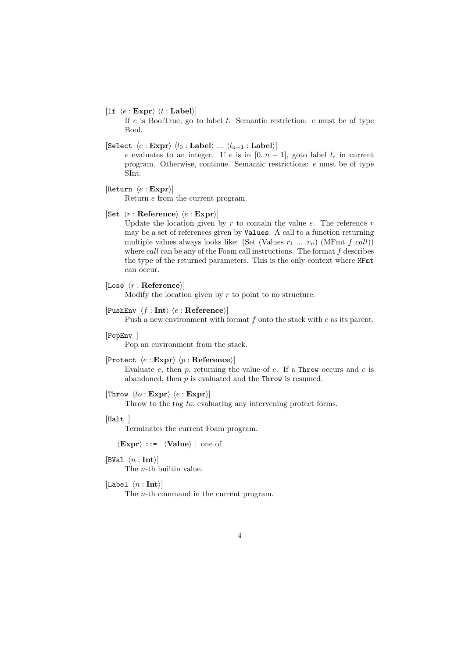[If  $\langle e : \textbf{Expr} \rangle \langle t : \textbf{Label} \rangle$ ]

If  $e$  is BoolTrue, go to label  $t$ . Semantic restriction:  $e$  must be of type Bool.

[Select  $\langle e : \text{Expr} \rangle \langle l_0 : \text{Label} \rangle ... \langle l_{n-1} : \text{Label} \rangle$ ]

e evaluates to an integer. If e is in  $[0..n-1]$ , goto label  $l_e$  in current program. Otherwise, continue. Semantic restrictions: e must be of type SInt.

[Return  $\langle e : \textbf{Expr} \rangle$ ]

Return e from the current program.

#### [Set  $\langle r : \text{Reference} \rangle \langle e : \text{Expr} \rangle$ ]

Update the location given by  $r$  to contain the value  $e$ . The reference  $r$ may be a set of references given by Values. A call to a function returning multiple values always looks like: (Set (Values  $r_1 \ldots r_n$ ) (MFmt  $f \, \text{call}$ )) where  $call$  can be any of the Foam call instructions. The format  $f$  describes the type of the returned parameters. This is the only context where MFmt can occur.

```
[Lose \langle r : \text{Reference} \rangle]
```
Modify the location given by  $r$  to point to no structure.

#### [PushEnv  $\langle f : \text{Int} \rangle \langle e : \text{Reference} \rangle$ ]

Push a new environment with format  $f$  onto the stack with  $e$  as its parent.

### [PopEnv ]

Pop an environment from the stack.

```
[Protect \langle e : \text{Expr} \rangle \langle p : \text{Reference} \rangle]
```
Evaluate e, then  $p$ , returning the value of  $e$ . If a Throw occurs and  $e$  is abandoned, then  $p$  is evaluated and the Throw is resumed.

### [Throw  $\langle to : \mathbf{Expr} \rangle \langle e : \mathbf{Expr} \rangle$ ]

Throw to the tag to, evaluating any intervening protect forms.

 $[Halt]$ 

Terminates the current Foam program.

 $\langle \textbf{Expr} \rangle$  ::=  $\langle \textbf{Value} \rangle |$  one of

[BVal  $\langle n : \text{Int} \rangle$ ]

The n-th builtin value.

[Label  $\langle n : \textbf{Int} \rangle$ ]

The n-th command in the current program.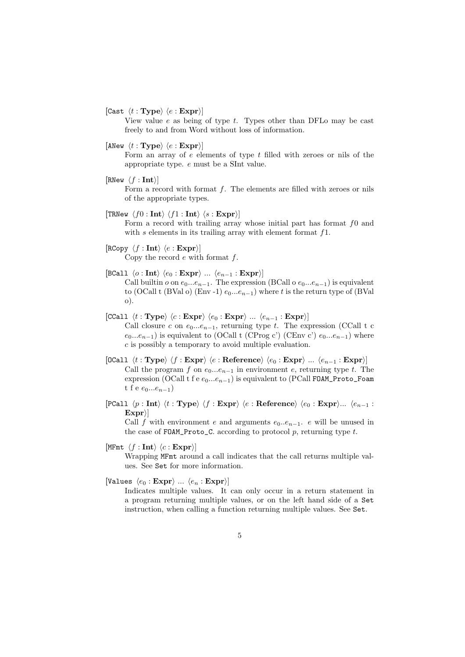[Cast  $\langle t : \textbf{Type} \rangle \langle e : \textbf{Expr} \rangle$ ]

View value  $e$  as being of type  $t$ . Types other than DFLo may be cast freely to and from Word without loss of information.

[ANew  $\langle t : \textbf{Type} \rangle \langle e : \textbf{Expr} \rangle$ ]

Form an array of e elements of type t filled with zeroes or nils of the appropriate type. e must be a SInt value.

[RNew  $\langle f : \textbf{Int} \rangle$ ]

Form a record with format f. The elements are filled with zeroes or nils of the appropriate types.

[TRNew  $\langle f0 : \text{Int} \rangle \langle f1 : \text{Int} \rangle \langle s : \text{Expr} \rangle$ ]

Form a record with trailing array whose initial part has format f0 and with  $s$  elements in its trailing array with element format  $f_1$ .

- $[RCopy \langle f : Int \rangle \langle e : Expr \rangle]$ Copy the record  $e$  with format  $f$ .
- [BCall  $\langle o : \text{Int} \rangle$   $\langle e_0 : \text{Expr} \rangle$  ...  $\langle e_{n-1} : \text{Expr} \rangle$ ] Call builtin  $o$  on  $e_0...e_{n-1}$ . The expression (BCall o  $e_0...e_{n-1}$ ) is equivalent to (OCall t (BVal o) (Env -1)  $e_0...e_{n-1}$ ) where t is the return type of (BVal o).
- $[CCall \langle t : Type \rangle \langle c : Expr \rangle \langle e_0 : Expr \rangle ... \langle e_{n-1} : Expr \rangle]$ Call closure c on  $e_0...e_{n-1}$ , returning type t. The expression (CCall t c  $e_0...e_{n-1}$ ) is equivalent to (OCall t (CProg c') (CEnv c')  $e_0...e_{n-1}$ ) where c is possibly a temporary to avoid multiple evaluation.
- $[0$ Call  $\langle t : Type \rangle \langle f : Expr \rangle \langle e : Reference \rangle \langle e_0 : Expr \rangle ... \langle e_{n-1} : Expr \rangle]$ Call the program f on  $e_0...e_{n-1}$  in environment e, returning type t. The expression (OCall t f e  $e_0...e_{n-1}$ ) is equivalent to (PCall FOAM\_Proto\_Foam t f e  $e_0...e_{n-1}$
- [PCall  $\langle p : \text{Int} \rangle \langle t : \text{Type} \rangle \langle f : \text{Expr} \rangle \langle e : \text{Reference} \rangle \langle e_0 : \text{Expr} \rangle ... \langle e_{n-1} :$  $\ket{\text{Expr}}$

Call f with environment e and arguments  $e_0...e_{n-1}$ . e will be unused in the case of FOAM\_Proto\_C. according to protocol p, returning type  $t$ .

[MFmt  $\langle f : \textbf{Int} \rangle \langle c : \textbf{Expr} \rangle$ ]

Wrapping MFmt around a call indicates that the call returns multiple values. See Set for more information.

[Values  $\langle e_0 : \text{Expr} \rangle ... \langle e_n : \text{Expr} \rangle$ ]

Indicates multiple values. It can only occur in a return statement in a program returning multiple values, or on the left hand side of a Set instruction, when calling a function returning multiple values. See Set.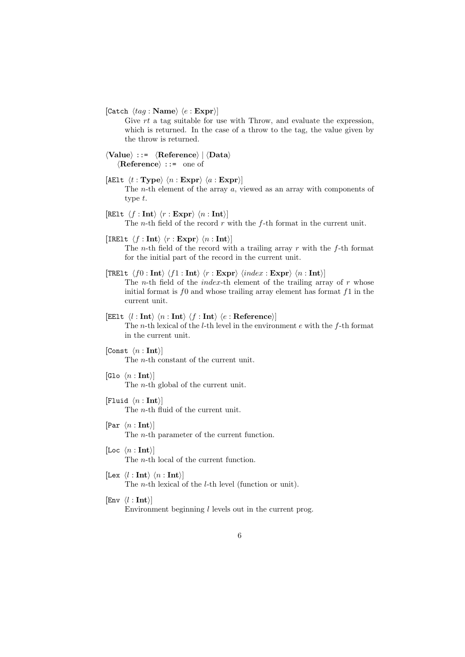[Catch  $\langle tag : \mathbf Name \rangle \langle e : \mathbf{Expr} \rangle$ ]

Give rt a tag suitable for use with Throw, and evaluate the expression, which is returned. In the case of a throw to the tag, the value given by the throw is returned.

```
\langle Value \rangle ::= \langle Reference \rangle | \langle Data \rangle\langleReference\rangle ::= one of
```
- [AElt  $\langle t : \textbf{Type} \rangle \langle n : \textbf{Expr} \rangle \langle a : \textbf{Expr} \rangle$ ] The n-th element of the array a, viewed as an array with components of type t.
- [RElt  $\langle f : \text{Int} \rangle \langle r : \text{Expr} \rangle \langle n : \text{Int} \rangle$ ] The *n*-th field of the record  $r$  with the  $f$ -th format in the current unit.
- [IRElt  $\langle f : \textbf{Int} \rangle \langle r : \textbf{Expr} \rangle \langle n : \textbf{Int} \rangle$ ]

The *n*-th field of the record with a trailing array  $r$  with the  $f$ -th format for the initial part of the record in the current unit.

- [TRElt  $\langle f0 : \text{Int} \rangle \langle f1 : \text{Int} \rangle \langle r : \text{Expr} \rangle \langle index : \text{Expr} \rangle \langle n : \text{Int} \rangle$ ] The *n*-th field of the *index*-th element of the trailing array of  $r$  whose initial format is  $f0$  and whose trailing array element has format  $f1$  in the current unit.
- [EElt  $\langle l : \text{Int} \rangle \langle n : \text{Int} \rangle \langle f : \text{Int} \rangle \langle e : \text{Reference} \rangle$ ] The n-th lexical of the l-th level in the environment e with the f-th format in the current unit.

[Const  $\langle n : \text{Int} \rangle$ ] The n-th constant of the current unit.

- [Glo  $\langle n : \text{Int} \rangle$ ] The *n*-th global of the current unit.
- [Fluid  $\langle n : \text{Int} \rangle$ ] The n-th fluid of the current unit.
- [Par  $\langle n : \text{Int} \rangle$ ] The n-th parameter of the current function.
- [Loc  $\langle n : \text{Int} \rangle$ ] The n-th local of the current function.
- [Lex  $\langle l : \text{Int} \rangle \langle n : \text{Int} \rangle$ ] The *n*-th lexical of the *l*-th level (function or unit).

 $[Env \langle l : Int \rangle]$ Environment beginning  $l$  levels out in the current prog.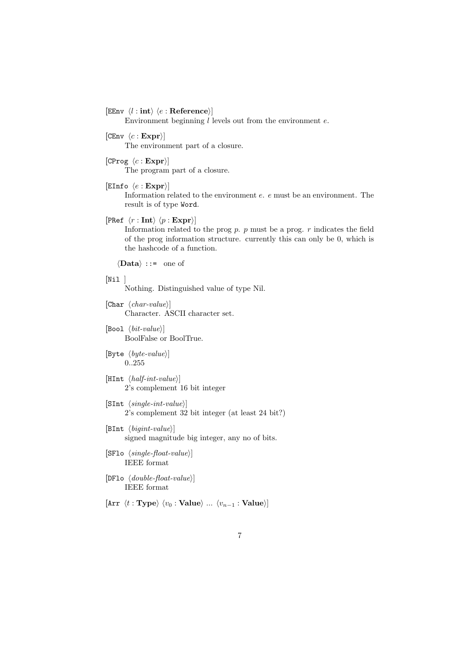[EEnv  $\langle l : \text{int} \rangle$   $\langle e : \text{Reference} \rangle$ ]

Environment beginning  $l$  levels out from the environment  $e$ .

- $[CEnv \langle c : Expr \rangle]$ The environment part of a closure.
- [CProg  $\langle c : \mathbf{Expr} \rangle$ ] The program part of a closure.
- [EInfo  $\langle e : \mathbf{Expr} \rangle$ ]

Information related to the environment e. e must be an environment. The result is of type Word.

[PRef  $\langle r : \text{Int} \rangle \langle p : \text{Expr} \rangle$ ]

Information related to the prog  $p$ .  $p$  must be a prog.  $r$  indicates the field of the prog information structure. currently this can only be 0, which is the hashcode of a function.

 $\langle \textbf{Data} \rangle$  ::= one of

 $[Ni1]$ 

Nothing. Distinguished value of type Nil.

- [Char  $\langle char-value \rangle$ ] Character. ASCII character set.
- [Bool  $\langle bit-value \rangle$ ] BoolFalse or BoolTrue.
- [Byte  $\langle byte-value \rangle$ ] 0..255
- [HInt  $\langle \textit{half-int-value} \rangle$ ] 2's complement 16 bit integer
- [SInt  $\langle single-int-value \rangle$ ] 2's complement 32 bit integer (at least 24 bit?)
- [BInt  $\langle bigint-value \rangle$ ] signed magnitude big integer, any no of bits.
- [SF10  $\langle single\text{-}float\text{-}value \rangle$ ] IEEE format
- [DF10  $\langle double\text{-}float\text{-}value \rangle$ ] IEEE format

[Arr  $\langle t : \textbf{Type} \rangle$   $\langle v_0 : \textbf{Value} \rangle$  ...  $\langle v_{n-1} : \textbf{Value} \rangle$ ]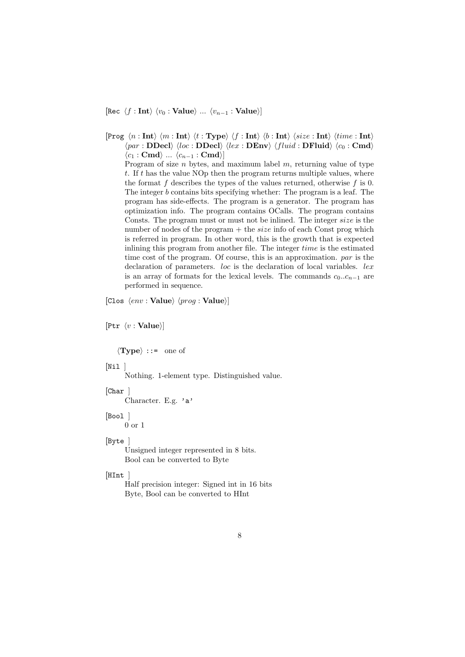[Rec  $\langle f : \text{Int} \rangle \langle v_0 : \text{Value} \rangle ... \langle v_{n-1} : \text{Value} \rangle$ ]

[Prog  $\langle n : \text{Int} \rangle$   $\langle m : \text{Int} \rangle$   $\langle t : \text{Type} \rangle$   $\langle f : \text{Int} \rangle$   $\langle b : \text{Int} \rangle$   $\langle size : \text{Int} \rangle$   $\langle time : \text{Int} \rangle$  $\langle par : \mathbf{DDecl} \rangle$   $\langle loc : \mathbf{DDecl} \rangle$   $\langle lex : \mathbf{DEnv} \rangle$   $\langle fluid : \mathbf{DFluid} \rangle$   $\langle c_0 : \mathbf{Cmd} \rangle$  $\langle c_1 : \mathbf{Cmd} \rangle \dots \langle c_{n-1} : \mathbf{Cmd} \rangle$ Program of size  $n$  bytes, and maximum label  $m$ , returning value of type  $t$ . If  $t$  has the value NOp then the program returns multiple values, where the format  $f$  describes the types of the values returned, otherwise  $f$  is 0. The integer b contains bits specifying whether: The program is a leaf. The program has side-effects. The program is a generator. The program has optimization info. The program contains OCalls. The program contains Consts. The program must or must not be inlined. The integer size is the number of nodes of the program  $+$  the *size* info of each Const prog which is referred in program. In other word, this is the growth that is expected inlining this program from another file. The integer time is the estimated time cost of the program. Of course, this is an approximation. par is the declaration of parameters. *loc* is the declaration of local variables. *lex* is an array of formats for the lexical levels. The commands  $c_0..c_{n-1}$  are performed in sequence.

[Clos  $\langle env : Value \rangle$   $\langle prog : Value \rangle$ ]

[Ptr  $\langle v : \textbf{Value} \rangle$ ]

 $\langle \textbf{Type} \rangle$  ::= one of

#### $[Ni1]$

Nothing. 1-element type. Distinguished value.

### $[Char]$

Character. E.g. 'a'

#### [Bool]

0 or 1

## [Byte ]

Unsigned integer represented in 8 bits. Bool can be converted to Byte

#### $[$ HInt

Half precision integer: Signed int in 16 bits Byte, Bool can be converted to HInt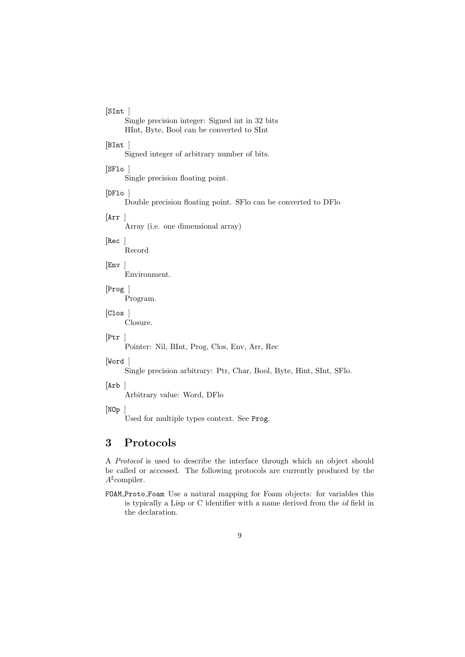## $[SInt]$

Single precision integer: Signed int in 32 bits HInt, Byte, Bool can be converted to SInt

### $[Blnt]$

Signed integer of arbitrary number of bits.

## $[SF1o]$

Single precision floating point.

### $[DFlo]$

Double precision floating point. SFlo can be converted to DFlo

# [Arr ]

Array (i.e. one dimensional array)

#### [Rec ]

Record

### [Env ]

Environment.

 $[{\rm Prog}]$ 

Program.

## [Clos ]

Closure.

### [Ptr ]

Pointer: Nil, BInt, Prog, Clos, Env, Arr, Rec

### [Word ]

Single precision arbitrary: Ptr, Char, Bool, Byte, Hint, SInt, SFlo.

#### [Arb ]

Arbitrary value: Word, DFlo

#### [NOp ]

Used for multiple types context. See Prog.

## 3 Protocols

A Protocol is used to describe the interface through which an object should be called or accessed. The following protocols are currently produced by the  $A^{\sharp}$ compiler.

FOAM Proto Foam Use a natural mapping for Foam objects: for variables this is typically a Lisp or C identifier with a name derived from the id field in the declaration.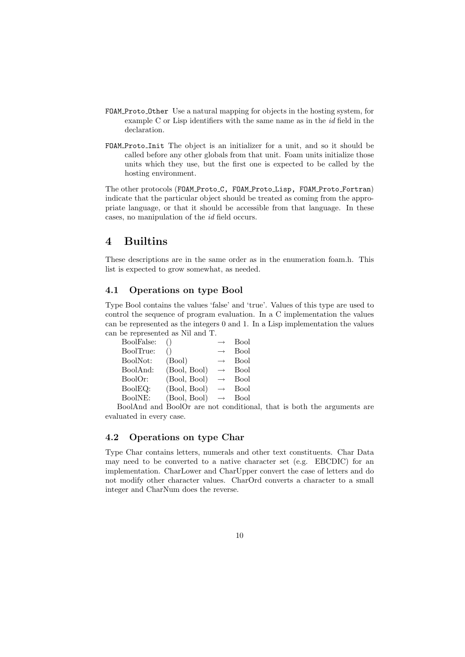- FOAM Proto Other Use a natural mapping for objects in the hosting system, for example C or Lisp identifiers with the same name as in the id field in the declaration.
- FOAM Proto Init The object is an initializer for a unit, and so it should be called before any other globals from that unit. Foam units initialize those units which they use, but the first one is expected to be called by the hosting environment.

The other protocols (FOAM\_Proto\_C, FOAM\_Proto\_Lisp, FOAM\_Proto\_Fortran) indicate that the particular object should be treated as coming from the appropriate language, or that it should be accessible from that language. In these cases, no manipulation of the id field occurs.

## 4 Builtins

These descriptions are in the same order as in the enumeration foam.h. This list is expected to grow somewhat, as needed.

## 4.1 Operations on type Bool

Type Bool contains the values 'false' and 'true'. Values of this type are used to control the sequence of program evaluation. In a C implementation the values can be represented as the integers 0 and 1. In a Lisp implementation the values can be represented as Nil and T.

| BoolFalse: |              | $\rightarrow$ | Bool |
|------------|--------------|---------------|------|
| BoolTrue:  |              | $\rightarrow$ | Bool |
| BoolNot:   | (Bool)       | $\rightarrow$ | Bool |
| BoolAnd:   | (Bool, Bool) | $\rightarrow$ | Bool |
| BoolOr:    | (Bool, Bool) | $\rightarrow$ | Bool |
| BoolEQ:    | (Bool, Bool) | $\rightarrow$ | Bool |
| BoolNE:    | (Bool, Bool) | $\rightarrow$ | Bool |
|            |              |               |      |

BoolAnd and BoolOr are not conditional, that is both the arguments are evaluated in every case.

### 4.2 Operations on type Char

Type Char contains letters, numerals and other text constituents. Char Data may need to be converted to a native character set (e.g. EBCDIC) for an implementation. CharLower and CharUpper convert the case of letters and do not modify other character values. CharOrd converts a character to a small integer and CharNum does the reverse.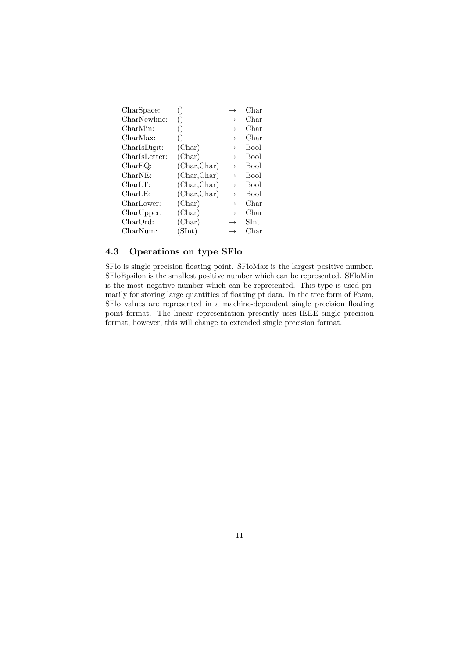|              |                   | Char        |
|--------------|-------------------|-------------|
| ()           | $\longrightarrow$ | Char        |
| ()           | $\longrightarrow$ | Char        |
|              | $\longrightarrow$ | Char        |
| (Char)       | $\rightarrow$     | <b>Bool</b> |
| (Char)       | $\rightarrow$     | Bool        |
| (Char, Char) | $\longrightarrow$ | <b>Bool</b> |
| (Char, Char) | $\rightarrow$     | <b>Bool</b> |
| (Char, Char) | $\rightarrow$     | Bool        |
| (Char, Char) | $\rightarrow$     | <b>Bool</b> |
| (Char)       | $\rightarrow$     | Char        |
| (Char)       | $\rightarrow$     | Char        |
| (Char)       | $\longrightarrow$ | SInt        |
| (SInt)       |                   | Char        |
|              |                   |             |

## 4.3 Operations on type SFlo

SFlo is single precision floating point. SFloMax is the largest positive number. SFloEpsilon is the smallest positive number which can be represented. SFloMin is the most negative number which can be represented. This type is used primarily for storing large quantities of floating pt data. In the tree form of Foam, SFlo values are represented in a machine-dependent single precision floating point format. The linear representation presently uses IEEE single precision format, however, this will change to extended single precision format.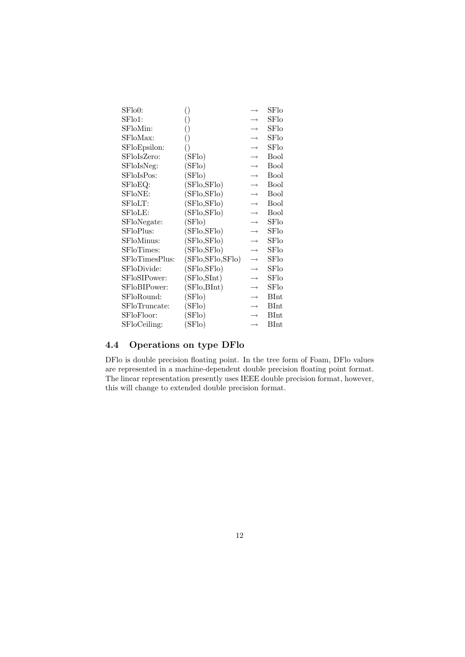| SFlo0:         | ()                 | $\rightarrow$     | SFlo        |
|----------------|--------------------|-------------------|-------------|
| SFlo1:         | ()                 |                   | SFlo        |
| SFloMin:       | ()                 | $\rightarrow$     | SFlo        |
| SFloMax:       | ()                 | $\rightarrow$     | SFlo        |
| SFloEpsilon:   | ()                 | $\rightarrow$     | SFlo        |
| SFloIsZero:    | (SFlo)             | $\rightarrow$     | <b>Bool</b> |
| SFloIsNeg:     | (SFlo)             | $\rightarrow$     | <b>Bool</b> |
| SFloIsPos:     | (SFlo)             | $\rightarrow$     | <b>Bool</b> |
| SFloEQ:        | (SFlo, SFlo)       | $\rightarrow$     | Bool        |
| SFloNE:        | (SFlo,SFlo)        | $\rightarrow$     | <b>Bool</b> |
| SFloLT:        | (SFlo, SFlo)       | $\rightarrow$     | <b>Bool</b> |
| SFloLE:        | (SFlo,SFlo)        | $\rightarrow$     | <b>Bool</b> |
| SFloNegate:    | (SFlo)             | $\rightarrow$     | SFlo        |
| SFloPlus:      | (SFlo, SFlo)       | $\rightarrow$     | SFlo        |
| SFloMinus:     | (SFlo, SFlo)       | $\rightarrow$     | SFlo        |
| SFloTimes:     | (SFlo, SFlo)       | $\longrightarrow$ | SFlo        |
| SFloTimesPlus: | (SFlo, SFlo, SFlo) | $\rightarrow$     | SFlo        |
| SFloDivide:    | (SFlo, SFlo)       | $\rightarrow$     | SFlo        |
| SFloSIPower:   | (SFlo, SInt)       | $\rightarrow$     | SFlo        |
| SFloBIPower:   | (SFlo,BInt)        | $\rightarrow$     | SFlo        |
| SFloRound:     | (SFlo)             | $\rightarrow$     | <b>BInt</b> |
| SFloTruncate:  | (SFlo)             | $\longrightarrow$ | <b>BInt</b> |
| SFloFloor:     | (SFlo)             | $\longrightarrow$ | <b>BInt</b> |
| SFloCeiling:   | (SFlo)             | $\longrightarrow$ | BInt        |

## 4.4 Operations on type DFlo

DFlo is double precision floating point. In the tree form of Foam, DFlo values are represented in a machine-dependent double precision floating point format. The linear representation presently uses IEEE double precision format, however, this will change to extended double precision format.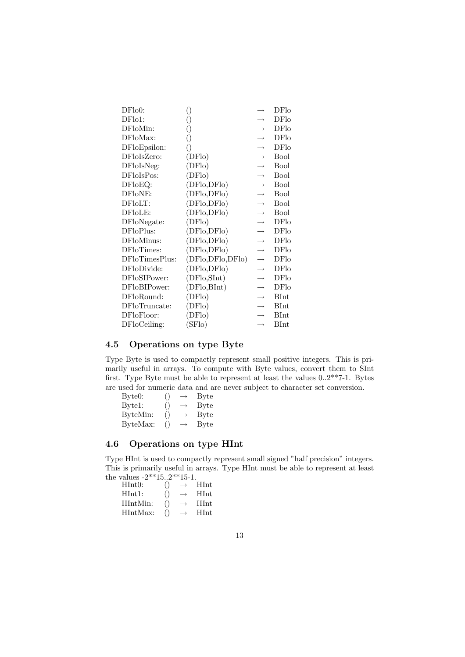| DFlo0:         | ()               | $\longrightarrow$ | DFlo        |
|----------------|------------------|-------------------|-------------|
| DFlo1:         | ()               |                   | <b>DFlo</b> |
| DFloMin:       | ()               |                   | DFlo        |
| DFloMax:       | 0                |                   | DFlo        |
| DFloEpsilon:   | ()               | $\rightarrow$     | DFlo        |
| DFloIsZero:    | (DFlo)           | $\rightarrow$     | <b>Bool</b> |
| DFloIsNeg:     | (DFlo)           | $\rightarrow$     | <b>Bool</b> |
| DFloIsPos:     | (DFlo)           | $\rightarrow$     | <b>Bool</b> |
| DFloEQ:        | (DFlo,DFlo)      | $\rightarrow$     | <b>Bool</b> |
| DFloNE:        | (DFlo,DFlo)      | $\rightarrow$     | <b>Bool</b> |
| DFloLT:        | (DFlo,DFlo)      | $\rightarrow$     | <b>Bool</b> |
| DFloLE:        | (DFlo,DFlo)      | $\rightarrow$     | <b>Bool</b> |
| DFloNegate:    | (DFlo)           | $\rightarrow$     | DFlo        |
| DFloPlus:      | (DFlo,DFlo)      | $\rightarrow$     | DFlo        |
| DFloMinus:     | (DFlo,DFlo)      | $\rightarrow$     | DFlo        |
| DFloTimes:     | (DFlo,DFlo)      | $\rightarrow$     | <b>DFlo</b> |
| DFloTimesPlus: | (DFlo,DFlo,DFlo) | $\rightarrow$     | DFlo        |
| DFloDivide:    | (DFlo,DFlo)      |                   | DFlo        |
| DFloSIPower:   | (DFlo, SInt)     | $\rightarrow$     | DFlo        |
| DFloBIPower:   | (DFlo,BInt)      | $\rightarrow$     | DFlo        |
| DFloRound:     | (DFlo)           | $\rightarrow$     | <b>BInt</b> |
| DFloTruncate:  | (DFlo)           | $\rightarrow$     | BInt        |
| DFloFloor:     | (DFlo)           | $\rightarrow$     | BInt        |
| DFloCeiling:   | SFlo)            | $\rightarrow$     | BInt        |

## 4.5 Operations on type Byte

Type Byte is used to compactly represent small positive integers. This is primarily useful in arrays. To compute with Byte values, convert them to SInt first. Type Byte must be able to represent at least the values 0..2\*\*7-1. Bytes are used for numeric data and are never subject to character set conversion.

| Byte0:   | $\left( \right)$ | $\rightarrow$     | <b>Byte</b>  |
|----------|------------------|-------------------|--------------|
| Byte1:   | $\left(\right)$  | $\rightarrow$     | <b>Byte</b>  |
| ByteMin: | $\left( \right)$ | $\longrightarrow$ | <b>B</b> yte |
| ByteMax: | $\left( \right)$ | $\longrightarrow$ | Byte         |

## 4.6 Operations on type HInt

Type HInt is used to compactly represent small signed "half precision" integers. This is primarily useful in arrays. Type HInt must be able to represent at least the values  $-2**15..2**15-1$ .

| $value3 - 2$ | 1.1.1.1          | . <i>. .</i> |             |
|--------------|------------------|--------------|-------------|
| HInt0:       | ( )              |              | <b>HInt</b> |
| HInt1:       | ( )              |              | <b>HInt</b> |
| HIntMin:     | $\left( \right)$ |              | <b>HInt</b> |
| HIntMax:     | ( )              |              | HInt.       |
|              |                  |              |             |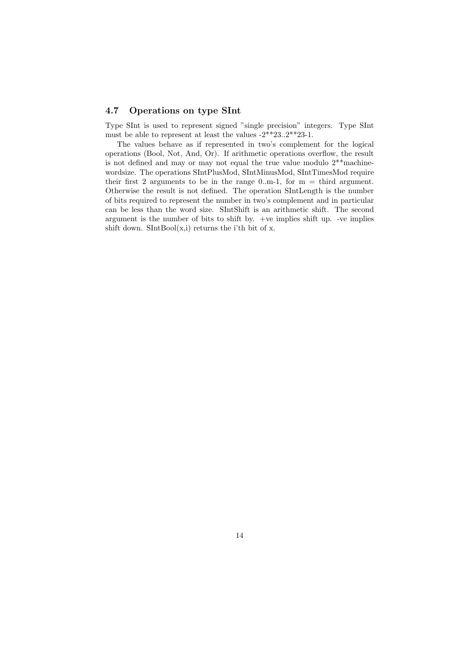## 4.7 Operations on type SInt

Type SInt is used to represent signed "single precision" integers. Type SInt must be able to represent at least the values -2\*\*23..2\*\*23-1.

The values behave as if represented in two's complement for the logical operations (Bool, Not, And, Or). If arithmetic operations overflow, the result is not defined and may or may not equal the true value modulo  $2^{**}$  machinewordsize. The operations SIntPlusMod, SIntMinusMod, SIntTimesMod require their first 2 arguments to be in the range 0.m-1, for  $m =$  third argument. Otherwise the result is not defined. The operation SIntLength is the number of bits required to represent the number in two's complement and in particular can be less than the word size. SIntShift is an arithmetic shift. The second argument is the number of bits to shift by. +ve implies shift up. -ve implies shift down.  $SIntBool(x,i)$  returns the i'th bit of x.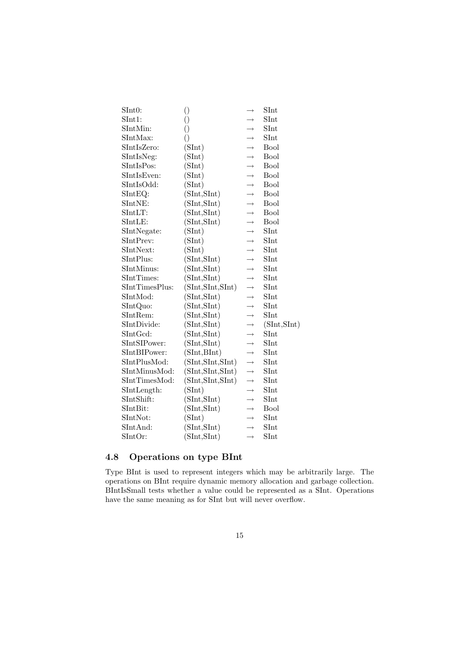| SInt0:                      | $\left(\right)$    | $\rightarrow$ | SInt                  |
|-----------------------------|--------------------|---------------|-----------------------|
| SInt1:                      | $\left(\right)$    | $\rightarrow$ | SInt                  |
| SIntMin:                    | $\left(\right)$    | $\rightarrow$ | SInt                  |
| SIntMax:                    | $\left(\right)$    | $\rightarrow$ | SInt                  |
| SIntIsZero:                 | (SInt)             | $\rightarrow$ | <b>Bool</b>           |
| SIntIsNeg:                  | (SInt)             | $\rightarrow$ | <b>Bool</b>           |
| SIntIsPos:                  | (SInt)             | $\rightarrow$ | <b>Bool</b>           |
| SIntIsEven:                 | (SInt)             | $\rightarrow$ | <b>Bool</b>           |
| SIntIsOdd:                  | (SInt)             | $\rightarrow$ | <b>Bool</b>           |
| $SIntEQ$ :                  | (SInt, SInt)       | $\rightarrow$ | <b>Bool</b>           |
| SIntNE:                     | (SInt, SInt)       | $\rightarrow$ | <b>Bool</b>           |
| SIntLT:                     | (SInt, SInt)       | $\rightarrow$ | <b>Bool</b>           |
| SIntLE:                     | (SInt, SInt)       | $\rightarrow$ | <b>Bool</b>           |
| SIntNegate:                 | (SInt)             | $\rightarrow$ | SInt                  |
| SIntPrev:                   | (SInt)             | $\rightarrow$ | SInt                  |
| SIntNext:                   | (SInt)             | $\rightarrow$ | $\operatorname{SInt}$ |
| SIntPlus:                   | (SInt, SInt)       | $\rightarrow$ | $\operatorname{SInt}$ |
| SIntMinus:                  | (SInt, SInt)       | $\rightarrow$ | SInt                  |
| SIntTimes:                  | (SInt, SInt)       | $\rightarrow$ | SInt                  |
| SIntTimesPlus:              | (SInt, SInt, SInt) | $\rightarrow$ | SInt                  |
| SIntMod:                    | (SInt, SInt)       | $\rightarrow$ | SInt                  |
| SIntQuo:                    | (SInt, SInt)       | $\rightarrow$ | SInt                  |
| SIntRem:                    | (SInt, SInt)       | $\rightarrow$ | SInt                  |
| SIntDivide:                 | (SInt, SInt)       | $\rightarrow$ | (SInt, SInt)          |
| SIntGcd:                    | (SInt, SInt)       | $\rightarrow$ | SInt                  |
| SIntSIPower:                | (SInt, SInt)       | $\rightarrow$ | SInt                  |
| SIntBIPower:                | (SInt, BInt)       | $\rightarrow$ | SInt                  |
| SIntPlusMod:                | (SInt, SInt, SInt) | $\rightarrow$ | SInt                  |
| SIntMinusMod:               | (SInt, SInt, SInt) | $\rightarrow$ | SInt                  |
| SIntTimesMod:               | (SInt, SInt, SInt) | $\rightarrow$ | SInt                  |
| SIntLength:                 | (SInt)             | $\rightarrow$ | SInt                  |
| SIntShift:                  | (SInt, SInt)       | $\rightarrow$ | SInt                  |
| SIntBit:                    | (SInt, SInt)       | $\rightarrow$ | Bool                  |
| SIntNot:                    | (SInt)             | $\rightarrow$ | SInt                  |
| $\mathop{\mathrm{SIntAnd}}$ | (SInt, SInt)       | $\rightarrow$ | SInt                  |
| $\operatorname{SIntOr}$ :   | (SInt, SInt)       | $\rightarrow$ | $\operatorname{SInt}$ |
|                             |                    |               |                       |

## 4.8 Operations on type BInt

Type BInt is used to represent integers which may be arbitrarily large. The operations on BInt require dynamic memory allocation and garbage collection. BIntIsSmall tests whether a value could be represented as a SInt. Operations have the same meaning as for SInt but will never overflow.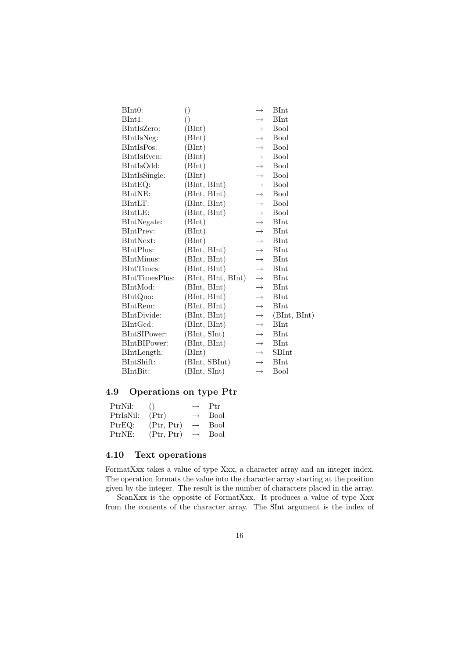| BInt0:         | $\left(\right)$    | $\rightarrow$     | <b>BInt</b>  |
|----------------|--------------------|-------------------|--------------|
| BInt1:         | ()                 | $\rightarrow$     | <b>BInt</b>  |
| BIntIsZero:    | (BInt)             | $\rightarrow$     | <b>Bool</b>  |
| BIntIsNeg:     | (BInt)             | $\rightarrow$     | <b>Bool</b>  |
| BIntIsPos:     | (BInt)             | $\rightarrow$     | <b>Bool</b>  |
| BIntIsEven:    | (BInt)             | $\rightarrow$     | Bool         |
| BIntIsOdd:     | (BInt)             | $\rightarrow$     | <b>Bool</b>  |
| BIntIsSingle:  | (BInt)             | $\rightarrow$     | <b>Bool</b>  |
| $BIntEQ$ :     | (BInt, BInt)       | $\rightarrow$     | <b>Bool</b>  |
| BIntNE:        | (BInt, BInt)       | $\longrightarrow$ | <b>Bool</b>  |
| $BIntLT$ :     | (BInt, BInt)       | $\longrightarrow$ | <b>Bool</b>  |
| BIntLE:        | (BInt, BInt)       | $\rightarrow$     | <b>Bool</b>  |
| BIntNegate:    | (BInt)             | $\rightarrow$     | <b>BInt</b>  |
| BIntPrev:      | (BInt)             | $\rightarrow$     | <b>BInt</b>  |
| BIntNext:      | (BInt)             | $\rightarrow$     | <b>BInt</b>  |
| BIntPlus:      | (BInt, BInt)       | $\rightarrow$     | <b>BInt</b>  |
| BIntMinus:     | (BInt, BInt)       | $\rightarrow$     | <b>BInt</b>  |
| BIntTimes:     | (BInt, BInt)       | $\rightarrow$     | <b>BInt</b>  |
| BIntTimesPlus: | (BInt, BInt, BInt) | $\rightarrow$     | <b>BInt</b>  |
| BIntMod:       | (BInt, BInt)       | $\rightarrow$     | <b>BInt</b>  |
| BIntQuo:       | (BInt, BInt)       | $\rightarrow$     | <b>BInt</b>  |
| BIntRem:       | (BInt, BInt)       | $\rightarrow$     | <b>BInt</b>  |
| BIntDivide:    | (BInt, BInt)       | $\rightarrow$     | (BInt, BInt) |
| BIntGcd:       | (BInt, BInt)       | $\longrightarrow$ | <b>BInt</b>  |
| BIntSIPower:   | (BInt, SInt)       | $\rightarrow$     | <b>BInt</b>  |
| BIntBIPower:   | (BInt, BInt)       | $\rightarrow$     | <b>BInt</b>  |
| BIntLength:    | (BInt)             | $\rightarrow$     | <b>SBInt</b> |
| BIntShift:     | (BInt, SBInt)      | $\rightarrow$     | <b>BInt</b>  |
| BIntBit:       | (BInt, SInt)       | $\rightarrow$     | Bool         |
|                |                    |                   |              |

## 4.9 Operations on type Ptr

| PtrNil:   | $\left( \right)$ | $\rightarrow$     | - Ptr |
|-----------|------------------|-------------------|-------|
| PtrIsNil: | $(\text{Ptr})$   | $\rightarrow$     | Bool  |
| PtrEQ:    | (Ptr, Ptr)       | $\rightarrow$     | Bool  |
| PtrNE:    | (Ptr, Ptr)       | $\longrightarrow$ | Bool  |

## 4.10 Text operations

FormatXxx takes a value of type Xxx, a character array and an integer index. The operation formats the value into the character array starting at the position given by the integer. The result is the number of characters placed in the array.

ScanXxx is the opposite of FormatXxx. It produces a value of type Xxx from the contents of the character array. The SInt argument is the index of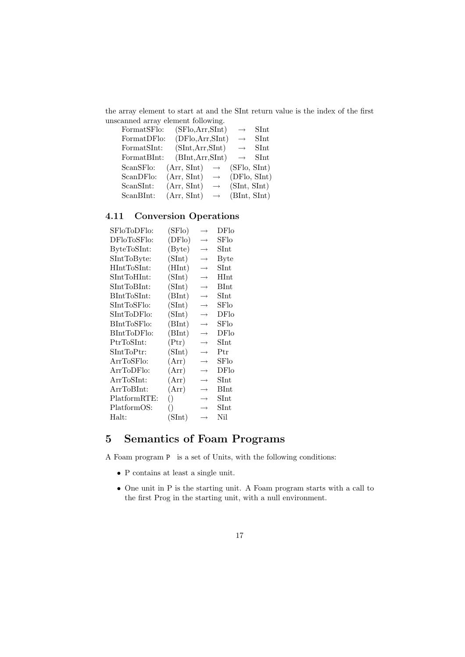the array element to start at and the SInt return value is the index of the first unscanned array element following.

| FormatSFlo: | (SFlo, Arr, SInt) |                   | $\rightarrow$     | SInt |
|-------------|-------------------|-------------------|-------------------|------|
| FormatDFlo: | (DFlo, Arr, SInt) |                   | $\longrightarrow$ | SInt |
| FormatSInt: | (SInt, Arr, SInt) |                   | $\rightarrow$     | SInt |
| FormatBInt: | (BInt, Arr, SInt) |                   | $\longrightarrow$ | SInt |
| ScanSFlo:   | (Arr, SInt)       | $\longrightarrow$ | (SFlo, SInt)      |      |
| ScanDFlo:   | (Arr, SInt)       | $\longrightarrow$ | (DFlo, SInt)      |      |
| ScanSInt:   | (Arr, SInt)       | $\longrightarrow$ | (SInt, SInt)      |      |
| ScanBInt:   | (Arr, SInt)       | $\longrightarrow$ | (BInt, SInt)      |      |
|             |                   |                   |                   |      |

## 4.11 Conversion Operations

| SFloToDFlo:                                  | (SFlo)          | $\rightarrow$     | DFlo                  |
|----------------------------------------------|-----------------|-------------------|-----------------------|
| DFloToSFlo:                                  | (DFlo)          | $\rightarrow$     | SFlo                  |
| ByteToSInt:                                  | (Byte)          | $\longrightarrow$ | ${\rm SInt}$          |
| SIntToByte:                                  | (SInt)          | $\longrightarrow$ | <b>Byte</b>           |
| $\text{HIntToSInt:}$                         | (HInt)          | $\rightarrow$     | $\operatorname{SInt}$ |
| $\operatorname{SIntToHInt}$ :                | (SInt)          | $\rightarrow$     | HInt                  |
| $\operatorname{SIntToBInt}$ :                | (SInt)          | $\rightarrow$     | BInt                  |
| BIntToSInt:                                  | (BInt)          | $\longrightarrow$ | $\operatorname{SInt}$ |
| $\operatorname{SIntToSFlo}:$                 | (SInt)          | $\rightarrow$     | SFlo                  |
| $\operatorname{SIntTopFlo:}$                 | (SInt)          | $\rightarrow$     | DFlo                  |
| BIntToSFlo:                                  | (BInt)          | $\rightarrow$     | SFlo                  |
| BIntToDFlo:                                  | (BInt)          | $\rightarrow$     | DFlo                  |
| PtrToSInt:                                   | $(\text{Ptr})$  | $\rightarrow$     | ${\rm SInt}$          |
| $\operatorname{SIntToptr}$ :                 | (SInt)          | $\rightarrow$     | Ptr                   |
| ArrToSFlo:                                   | (Arr)           | $\longrightarrow$ | SFlo                  |
| ArrToDFlo:                                   | (Arr)           | $\longrightarrow$ | DFlo                  |
| $\operatorname{Arr} \operatorname{ToSInt}$ : | (Arr)           | $\rightarrow$     | $\operatorname{SInt}$ |
| ArrToBInt:                                   | (Arr)           | $\rightarrow$     | BInt                  |
| PlatformRTE:                                 | $\left(\right)$ | $\longrightarrow$ | SInt                  |
| PlatformOS:                                  | $\left(\right)$ | $\rightarrow$     | ${\rm SInt}$          |
| Halt:                                        | (SInt)          | $\rightarrow$     | Nil                   |
|                                              |                 |                   |                       |

# 5 Semantics of Foam Programs

A Foam program P is a set of Units, with the following conditions:

- P contains at least a single unit.
- One unit in P is the starting unit. A Foam program starts with a call to the first Prog in the starting unit, with a null environment.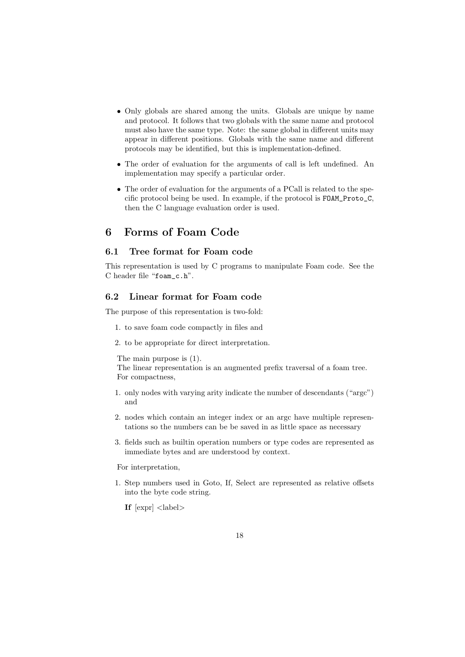- Only globals are shared among the units. Globals are unique by name and protocol. It follows that two globals with the same name and protocol must also have the same type. Note: the same global in different units may appear in different positions. Globals with the same name and different protocols may be identified, but this is implementation-defined.
- The order of evaluation for the arguments of call is left undefined. An implementation may specify a particular order.
- The order of evaluation for the arguments of a PCall is related to the specific protocol being be used. In example, if the protocol is FOAM\_Proto\_C, then the C language evaluation order is used.

## 6 Forms of Foam Code

## 6.1 Tree format for Foam code

This representation is used by C programs to manipulate Foam code. See the C header file "foam\_c.h".

### 6.2 Linear format for Foam code

The purpose of this representation is two-fold:

- 1. to save foam code compactly in files and
- 2. to be appropriate for direct interpretation.

The main purpose is (1).

The linear representation is an augmented prefix traversal of a foam tree. For compactness,

- 1. only nodes with varying arity indicate the number of descendants ("argc") and
- 2. nodes which contain an integer index or an argc have multiple representations so the numbers can be be saved in as little space as necessary
- 3. fields such as builtin operation numbers or type codes are represented as immediate bytes and are understood by context.

For interpretation,

1. Step numbers used in Goto, If, Select are represented as relative offsets into the byte code string.

If  $[expr] <$ label>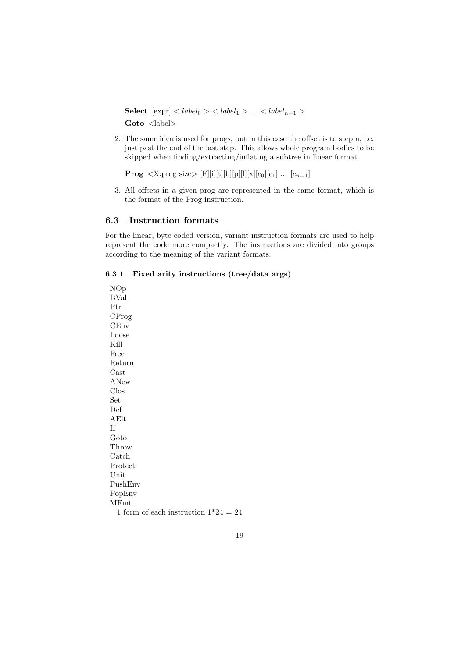Select  $[exp] < label_0 > < label_1 > ... < label_{n-1} >$ Goto <label>

2. The same idea is used for progs, but in this case the offset is to step n, i.e. just past the end of the last step. This allows whole program bodies to be skipped when finding/extracting/inflating a subtree in linear format.

**Prog** <X:prog size> [F][i][t][b][p][l][x][c<sub>0</sub>][c<sub>1</sub>] ... [c<sub>n-1</sub>]

3. All offsets in a given prog are represented in the same format, which is the format of the Prog instruction.

### 6.3 Instruction formats

For the linear, byte coded version, variant instruction formats are used to help represent the code more compactly. The instructions are divided into groups according to the meaning of the variant formats.

### 6.3.1 Fixed arity instructions (tree/data args)

NOp BVal Ptr CProg CEnv Loose Kill Free Return Cast ANew Clos Set Def AElt If Goto Throw Catch Protect Unit PushEnv PopEnv MFmt 1 form of each instruction  $1*24 = 24$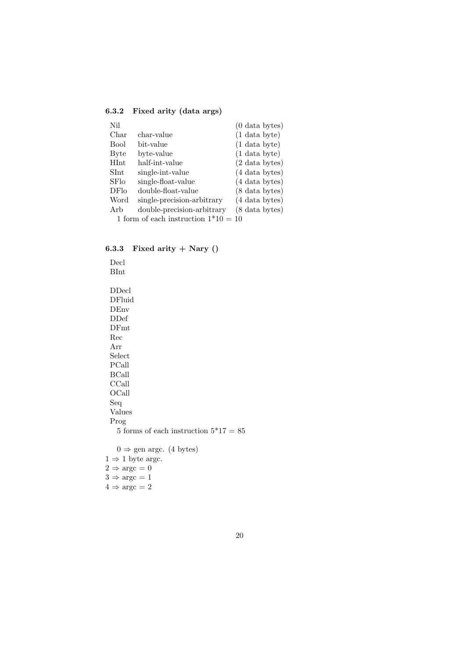## 6.3.2 Fixed arity (data args)

| Nil             |                                        | $(0 \text{ data bytes})$ |
|-----------------|----------------------------------------|--------------------------|
| Char            | char-value                             | $(1 \text{ data byte})$  |
| <b>Bool</b>     | bit-value                              | $(1 \text{ data byte})$  |
| Byte            | byte-value                             | $(1 \text{ data byte})$  |
| <b>HInt</b>     | half-int-value                         | $(2 \text{ data bytes})$ |
| $\mathrm{SInt}$ | single-int-value                       | (4 data bytes)           |
| <b>SF</b> lo    | single-float-value                     | (4 data bytes)           |
| DFlo            | double-float-value                     | $(8 \text{ data bytes})$ |
| Word            | single-precision-arbitrary             | (4 data bytes)           |
| Arb             | double-precision-arbitrary             | $(8 \text{ data bytes})$ |
|                 | 1 form of each instruction $1*10 = 10$ |                          |

## 6.3.3 Fixed arity  $+$  Nary ()

Decl BInt DDecl DFluid DEnv DDef DFmt Rec Arr Select PCall BCall CCall OCall Seq Values Prog 5 forms of each instruction  $5*17 = 85$  $0 \Rightarrow$  gen argc. (4 bytes)  $1 \Rightarrow 1$  byte argc.  $2 \Rightarrow \arg c = 0$  $3 \Rightarrow \text{argc} = 1$ 

 $4 \Rightarrow \text{argc} = 2$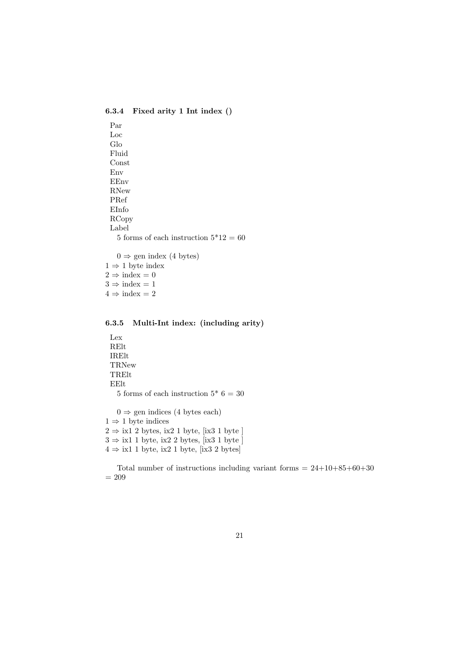6.3.4 Fixed arity 1 Int index ()

Par Loc Glo Fluid Const Env EEnv RNew PRef EInfo RCopy Label 5 forms of each instruction  $5*12 = 60$  $0 \Rightarrow$  gen index (4 bytes)

 $1 \Rightarrow 1$  byte index  $2 \Rightarrow \text{index} = 0$  $3 \Rightarrow \text{index} = 1$  $4 \Rightarrow \text{index} = 2$ 

## 6.3.5 Multi-Int index: (including arity)

```
Lex
 RElt
 IRElt
 TRNew
 TRElt
 EElt
   5 forms of each instruction 5^* 6 = 30
   0 \Rightarrow gen indices (4 bytes each)
1 \Rightarrow 1 byte indices
```
 $2 \Rightarrow$  ix1 2 bytes, ix2 1 byte, [ix3 1 byte]  $3 \Rightarrow$ ix1 1 byte, ix2 2 bytes, [ix3 1 byte ]  $4 \Rightarrow$  ix1 1 byte, ix2 1 byte, [ix3 2 bytes]

Total number of instructions including variant forms  $= 24+10+85+60+30$  $= 209$